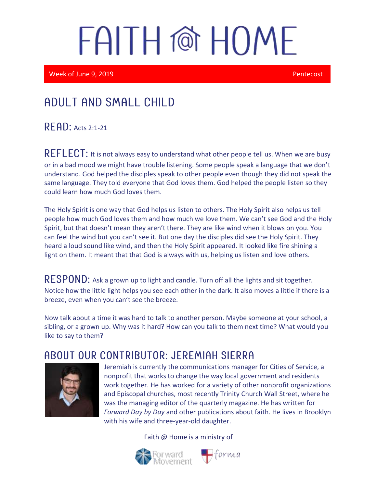Week of June 9, 2019 **Pentecost** 

### Adult and Small Child

 $R$   $F$  $R$  $D$ : Acts 2:1-21

REFLECT: It is not always easy to understand what other people tell us. When we are busy or in a bad mood we might have trouble listening. Some people speak a language that we don't understand. God helped the disciples speak to other people even though they did not speak the same language. They told everyone that God loves them. God helped the people listen so they could learn how much God loves them.

The Holy Spirit is one way that God helps us listen to others. The Holy Spirit also helps us tell people how much God loves them and how much we love them. We can't see God and the Holy Spirit, but that doesn't mean they aren't there. They are like wind when it blows on you. You can feel the wind but you can't see it. But one day the disciples did see the Holy Spirit. They heard a loud sound like wind, and then the Holy Spirit appeared. It looked like fire shining a light on them. It meant that that God is always with us, helping us listen and love others.

RESPOND: Ask a grown up to light and candle. Turn off all the lights and sit together. Notice how the little light helps you see each other in the dark. It also moves a little if there is a breeze, even when you can't see the breeze.

Now talk about a time it was hard to talk to another person. Maybe someone at your school, a sibling, or a grown up. Why was it hard? How can you talk to them next time? What would you like to say to them?

#### A BOUT OUR CONTRIBUTOR: JEREMIAH SIERRA



Jeremiah is currently the communications manager for Cities of Service, a nonprofit that works to change the way local government and residents work together. He has worked for a variety of other nonprofit organizations and Episcopal churches, most recently Trinity Church Wall Street, where he was the managing editor of the quarterly magazine. He has written for *Forward Day by Day* and other publications about faith. He lives in Brooklyn with his wife and three-year-old daughter.

 $\bigoplus$ forma

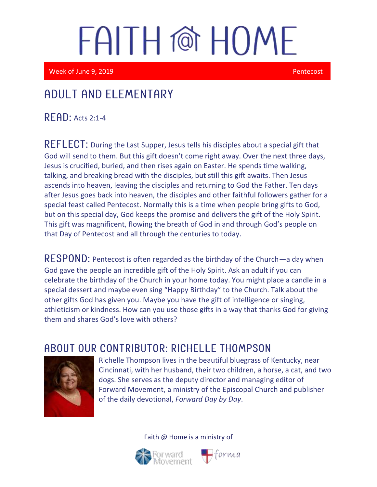Week of June 9, 2019 **Pentecost** 

i

I

### Adult and elementary

**READ:** Acts 2:1-4

REFLECT: During the Last Supper, Jesus tells his disciples about a special gift that God will send to them. But this gift doesn't come right away. Over the next three days, Jesus is crucified, buried, and then rises again on Easter. He spends time walking, talking, and breaking bread with the disciples, but still this gift awaits. Then Jesus ascends into heaven, leaving the disciples and returning to God the Father. Ten days after Jesus goes back into heaven, the disciples and other faithful followers gather for a special feast called Pentecost. Normally this is a time when people bring gifts to God, but on this special day, God keeps the promise and delivers the gift of the Holy Spirit. This gift was magnificent, flowing the breath of God in and through God's people on that Day of Pentecost and all through the centuries to today.

RESPOND: Pentecost is often regarded as the birthday of the Church—a day when God gave the people an incredible gift of the Holy Spirit. Ask an adult if you can celebrate the birthday of the Church in your home today. You might place a candle in a special dessert and maybe even sing "Happy Birthday" to the Church. Talk about the other gifts God has given you. Maybe you have the gift of intelligence or singing, athleticism or kindness. How can you use those gifts in a way that thanks God for giving them and shares God's love with others?

#### ABOUT OUR CONTRIBUTOR: RICHELLE THOMPSON



Richelle Thompson lives in the beautiful bluegrass of Kentucky, near Cincinnati, with her husband, their two children, a horse, a cat, and two dogs. She serves as the deputy director and managing editor of Forward Movement, a ministry of the Episcopal Church and publisher of the daily devotional, *Forward Day by Day*.



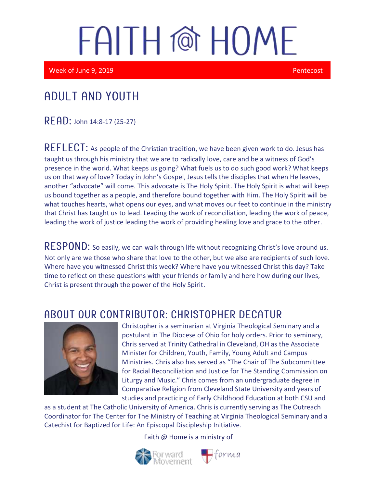Week of June 9, 2019 **Pentecost** Control of American Control of American Control of Pentecost

### Adult and youth

 $READ:$  John 14:8-17 (25-27)

REFLECT: As people of the Christian tradition, we have been given work to do. Jesus has taught us through his ministry that we are to radically love, care and be a witness of God's presence in the world. What keeps us going? What fuels us to do such good work? What keeps us on that way of love? Today in John's Gospel, Jesus tells the disciples that when He leaves, another "advocate" will come. This advocate is The Holy Spirit. The Holy Spirit is what will keep us bound together as a people, and therefore bound together with Him. The Holy Spirit will be what touches hearts, what opens our eyes, and what moves our feet to continue in the ministry that Christ has taught us to lead. Leading the work of reconciliation, leading the work of peace, leading the work of justice leading the work of providing healing love and grace to the other.

RESPOND: So easily, we can walk through life without recognizing Christ's love around us. Not only are we those who share that love to the other, but we also are recipients of such love. Where have you witnessed Christ this week? Where have you witnessed Christ this day? Take time to reflect on these questions with your friends or family and here how during our lives, Christ is present through the power of the Holy Spirit.

#### ABOUT OUR CONTRIBUTOR: CHRISTOPHER DECATUR



Christopher is a seminarian at Virginia Theological Seminary and a postulant in The Diocese of Ohio for holy orders. Prior to seminary, Chris served at Trinity Cathedral in Cleveland, OH as the Associate Minister for Children, Youth, Family, Young Adult and Campus Ministries. Chris also has served as "The Chair of The Subcommittee for Racial Reconciliation and Justice for The Standing Commission on Liturgy and Music." Chris comes from an undergraduate degree in Comparative Religion from Cleveland State University and years of studies and practicing of Early Childhood Education at both CSU and

as a student at The Catholic University of America. Chris is currently serving as The Outreach Coordinator for The Center for The Ministry of Teaching at Virginia Theological Seminary and a Catechist for Baptized for Life: An Episcopal Discipleship Initiative.